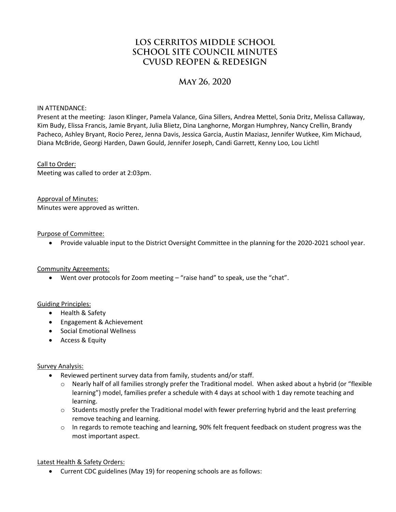# LOS CERRITOS MIDDLE SCHOOL **SCHOOL SITE COUNCIL MINUTES CVUSD REOPEN & REDESIGN**

# MAY 26, 2020

IN ATTENDANCE:

Present at the meeting: Jason Klinger, Pamela Valance, Gina Sillers, Andrea Mettel, Sonia Dritz, Melissa Callaway, Kim Budy, Elissa Francis, Jamie Bryant, Julia Blietz, Dina Langhorne, Morgan Humphrey, Nancy Crellin, Brandy Pacheco, Ashley Bryant, Rocio Perez, Jenna Davis, Jessica Garcia, Austin Maziasz, Jennifer Wutkee, Kim Michaud, Diana McBride, Georgi Harden, Dawn Gould, Jennifer Joseph, Candi Garrett, Kenny Loo, Lou Lichtl

#### Call to Order:

Meeting was called to order at 2:03pm.

Approval of Minutes: Minutes were approved as written.

#### Purpose of Committee:

Provide valuable input to the District Oversight Committee in the planning for the 2020-2021 school year.

#### Community Agreements:

Went over protocols for Zoom meeting – "raise hand" to speak, use the "chat".

#### Guiding Principles:

- Health & Safety
- Engagement & Achievement
- **•** Social Emotional Wellness
- Access & Equity

#### Survey Analysis:

- Reviewed pertinent survey data from family, students and/or staff.
	- o Nearly half of all families strongly prefer the Traditional model. When asked about a hybrid (or "flexible learning") model, families prefer a schedule with 4 days at school with 1 day remote teaching and learning.
	- $\circ$  Students mostly prefer the Traditional model with fewer preferring hybrid and the least preferring remove teaching and learning.
	- o In regards to remote teaching and learning, 90% felt frequent feedback on student progress was the most important aspect.

#### Latest Health & Safety Orders:

Current CDC guidelines (May 19) for reopening schools are as follows: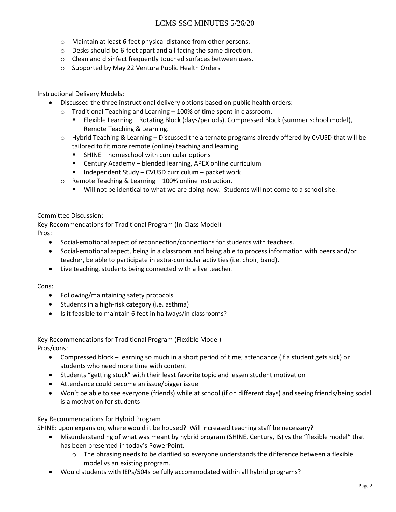# LCMS SSC MINUTES 5/26/20

- o Maintain at least 6-feet physical distance from other persons.
- o Desks should be 6-feet apart and all facing the same direction.
- o Clean and disinfect frequently touched surfaces between uses.
- o Supported by May 22 Ventura Public Health Orders

#### Instructional Delivery Models:

- Discussed the three instructional delivery options based on public health orders:
	- o Traditional Teaching and Learning 100% of time spent in classroom.
		- Flexible Learning Rotating Block (days/periods), Compressed Block (summer school model), Remote Teaching & Learning.
	- $\circ$  Hybrid Teaching & Learning Discussed the alternate programs already offered by CVUSD that will be tailored to fit more remote (online) teaching and learning.
		- SHINE homeschool with curricular options
		- Century Academy blended learning, APEX online curriculum
		- $\blacksquare$  Independent Study CVUSD curriculum packet work
	- o Remote Teaching & Learning 100% online instruction.
		- Will not be identical to what we are doing now. Students will not come to a school site.

#### Committee Discussion:

Key Recommendations for Traditional Program (In-Class Model) Pros:

- Social-emotional aspect of reconnection/connections for students with teachers.
- Social-emotional aspect, being in a classroom and being able to process information with peers and/or teacher, be able to participate in extra-curricular activities (i.e. choir, band).
- Live teaching, students being connected with a live teacher.

#### Cons:

- Following/maintaining safety protocols
- Students in a high-risk category (i.e. asthma)
- Is it feasible to maintain 6 feet in hallways/in classrooms?

# Key Recommendations for Traditional Program (Flexible Model)

Pros/cons:

- Compressed block learning so much in a short period of time; attendance (if a student gets sick) or students who need more time with content
- Students "getting stuck" with their least favorite topic and lessen student motivation
- Attendance could become an issue/bigger issue
- Won't be able to see everyone (friends) while at school (if on different days) and seeing friends/being social is a motivation for students

#### Key Recommendations for Hybrid Program

SHINE: upon expansion, where would it be housed? Will increased teaching staff be necessary?

- Misunderstanding of what was meant by hybrid program (SHINE, Century, IS) vs the "flexible model" that has been presented in today's PowerPoint.
	- $\circ$  The phrasing needs to be clarified so everyone understands the difference between a flexible model vs an existing program.
- Would students with IEPs/504s be fully accommodated within all hybrid programs?